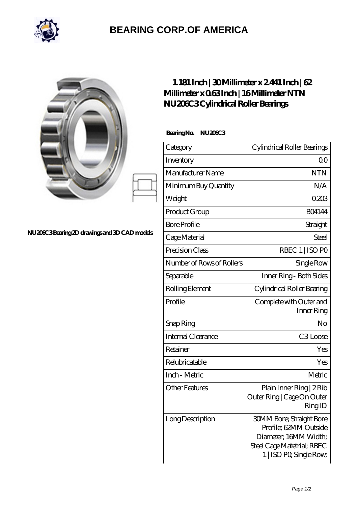

## **[BEARING CORP.OF AMERICA](https://bluemondayreview.com)**

|                                              | 1.181 Inch   30 Millimeter $x2441$ Inch $ 62$<br>Millimeter x 063Inch   16Millimeter NTN<br>NU206C3Cylindrical Roller Bearings<br>BearingNo.<br>NU200C3 |                                                                                                                 |
|----------------------------------------------|---------------------------------------------------------------------------------------------------------------------------------------------------------|-----------------------------------------------------------------------------------------------------------------|
|                                              |                                                                                                                                                         |                                                                                                                 |
|                                              | Category                                                                                                                                                | Cylindrical Roller Bearings                                                                                     |
|                                              | Inventory                                                                                                                                               | 0 <sub>0</sub>                                                                                                  |
|                                              | Manufacturer Name                                                                                                                                       | <b>NTN</b>                                                                                                      |
|                                              | Minimum Buy Quantity                                                                                                                                    | N/A                                                                                                             |
|                                              | Weight                                                                                                                                                  | 0203                                                                                                            |
| NU206C3Bearing 2D drawings and 3D CAD models | Product Group                                                                                                                                           | <b>BO4144</b>                                                                                                   |
|                                              | <b>Bore Profile</b>                                                                                                                                     | Straight                                                                                                        |
|                                              | Cage Material                                                                                                                                           | <b>Steel</b>                                                                                                    |
|                                              | Precision Class                                                                                                                                         | RBEC 1   ISO PO                                                                                                 |
|                                              | Number of Rows of Rollers                                                                                                                               | Single Row                                                                                                      |
|                                              | Separable                                                                                                                                               | Inner Ring - Both Sides                                                                                         |
|                                              | Rolling Element                                                                                                                                         | Cylindrical Roller Bearing                                                                                      |
|                                              | Profile                                                                                                                                                 | Complete with Outer and<br>Inner Ring                                                                           |
|                                              | Snap Ring                                                                                                                                               | No                                                                                                              |
|                                              | Internal Clearance                                                                                                                                      | C3Loose                                                                                                         |
|                                              | Retainer                                                                                                                                                | Yes                                                                                                             |
|                                              | Relubricatable                                                                                                                                          | Yes                                                                                                             |
|                                              | Inch - Metric                                                                                                                                           | Metric                                                                                                          |
|                                              | <b>Other Features</b>                                                                                                                                   | Plain Inner Ring   2 Rib<br>Outer Ring   Cage On Outer<br>RingID                                                |
|                                              | Long Description                                                                                                                                        | <b>30MM Bore; Straight Bore</b><br>Profile; 62MM Outside<br>Diameter; 16MM Width;<br>Steel Cage Matetrial; RBEC |

1 | ISO P0; Single Row;